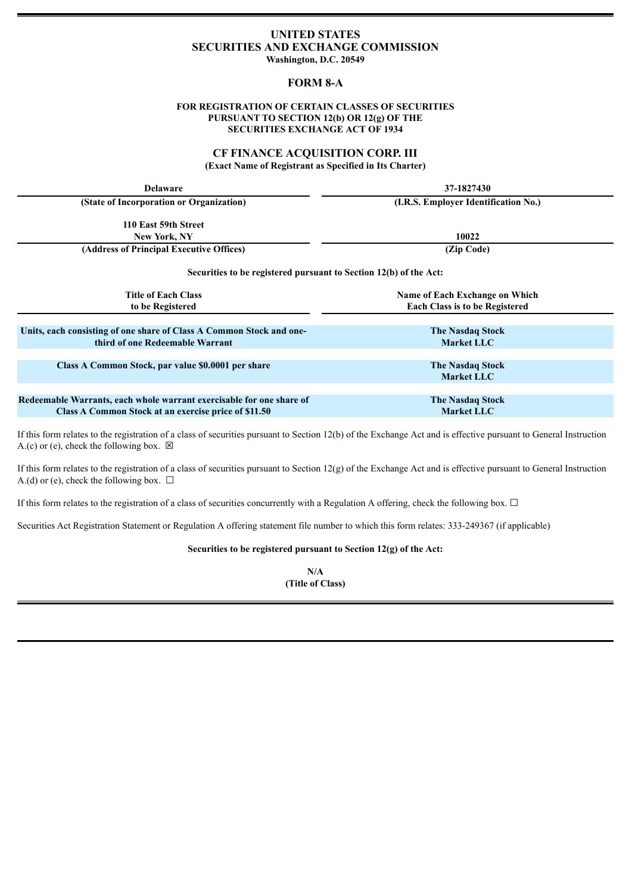# **UNITED STATES SECURITIES AND EXCHANGE COMMISSION**

**Washington, D.C. 20549**

# **FORM 8-A**

#### **FOR REGISTRATION OF CERTAIN CLASSES OF SECURITIES PURSUANT TO SECTION 12(b) OR 12(g) OF THE SECURITIES EXCHANGE ACT OF 1934**

## **CF FINANCE ACQUISITION CORP. III (Exact Name of Registrant as Specified in Its Charter)**

| <b>Delaware</b>                                                                                                                                                                                                    | 37-1827430                            |
|--------------------------------------------------------------------------------------------------------------------------------------------------------------------------------------------------------------------|---------------------------------------|
| (State of Incorporation or Organization)                                                                                                                                                                           | (I.R.S. Employer Identification No.)  |
| 110 East 59th Street                                                                                                                                                                                               |                                       |
| New York, NY                                                                                                                                                                                                       | 10022                                 |
| (Address of Principal Executive Offices)                                                                                                                                                                           | (Zip Code)                            |
| Securities to be registered pursuant to Section 12(b) of the Act:                                                                                                                                                  |                                       |
| <b>Title of Each Class</b>                                                                                                                                                                                         | Name of Each Exchange on Which        |
| to be Registered                                                                                                                                                                                                   | <b>Each Class is to be Registered</b> |
|                                                                                                                                                                                                                    |                                       |
| Units, each consisting of one share of Class A Common Stock and one-                                                                                                                                               | <b>The Nasdaq Stock</b>               |
| third of one Redeemable Warrant                                                                                                                                                                                    | <b>Market LLC</b>                     |
|                                                                                                                                                                                                                    |                                       |
| Class A Common Stock, par value \$0.0001 per share                                                                                                                                                                 | <b>The Nasdaq Stock</b>               |
|                                                                                                                                                                                                                    | <b>Market LLC</b>                     |
|                                                                                                                                                                                                                    |                                       |
| Redeemable Warrants, each whole warrant exercisable for one share of                                                                                                                                               | <b>The Nasdaq Stock</b>               |
| Class A Common Stock at an exercise price of \$11.50                                                                                                                                                               | <b>Market LLC</b>                     |
| $\mathcal{A}$ . The state of the state of the state $\mathcal{A}$ and $\mathcal{A}$ and $\mathcal{A}$ and $\mathcal{A}$ and $\mathcal{A}$ and $\mathcal{A}$<br>$\mathbf{r}$ $\mathbf{a}$ $\mathbf{r}$ $\mathbf{a}$ |                                       |

If this form relates to the registration of a class of securities pursuant to Section 12(b) of the Exchange Act and is effective pursuant to General Instruction A.(c) or (e), check the following box.  $\boxtimes$ 

If this form relates to the registration of a class of securities pursuant to Section 12(g) of the Exchange Act and is effective pursuant to General Instruction A.(d) or (e), check the following box.  $\Box$ 

If this form relates to the registration of a class of securities concurrently with a Regulation A offering, check the following box.  $\Box$ 

Securities Act Registration Statement or Regulation A offering statement file number to which this form relates: 333-249367 (if applicable)

**Securities to be registered pursuant to Section 12(g) of the Act:**

**N/A (Title of Class)**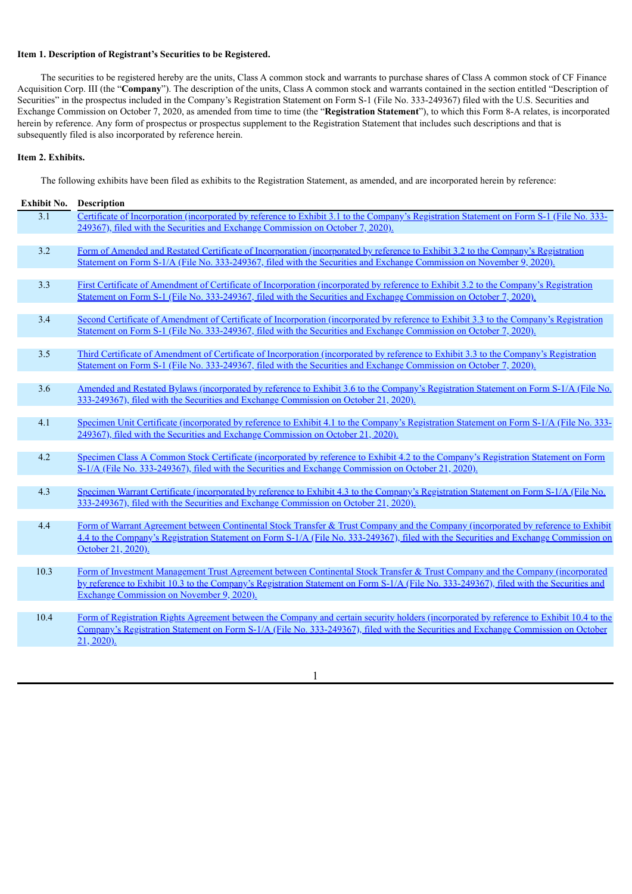### **Item 1. Description of Registrant's Securities to be Registered.**

The securities to be registered hereby are the units, Class A common stock and warrants to purchase shares of Class A common stock of CF Finance Acquisition Corp. III (the "**Company**"). The description of the units, Class A common stock and warrants contained in the section entitled "Description of Securities" in the prospectus included in the Company's Registration Statement on Form S-1 (File No. 333-249367) filed with the U.S. Securities and Exchange Commission on October 7, 2020, as amended from time to time (the "**Registration Statement**"), to which this Form 8-A relates, is incorporated herein by reference. Any form of prospectus or prospectus supplement to the Registration Statement that includes such descriptions and that is subsequently filed is also incorporated by reference herein.

#### **Item 2. Exhibits.**

The following exhibits have been filed as exhibits to the Registration Statement, as amended, and are incorporated herein by reference:

| <b>Exhibit No.</b> | Description                                                                                                                                                                                                                                                                                                            |
|--------------------|------------------------------------------------------------------------------------------------------------------------------------------------------------------------------------------------------------------------------------------------------------------------------------------------------------------------|
| $\overline{3.1}$   | Certificate of Incorporation (incorporated by reference to Exhibit 3.1 to the Company's Registration Statement on Form S-1 (File No. 333-<br>249367), filed with the Securities and Exchange Commission on October 7, 2020).                                                                                           |
|                    |                                                                                                                                                                                                                                                                                                                        |
| 3.2                | Form of Amended and Restated Certificate of Incorporation (incorporated by reference to Exhibit 3.2 to the Company's Registration<br>Statement on Form S-1/A (File No. 333-249367, filed with the Securities and Exchange Commission on November 9, 2020).                                                             |
|                    |                                                                                                                                                                                                                                                                                                                        |
| 3.3                | First Certificate of Amendment of Certificate of Incorporation (incorporated by reference to Exhibit 3.2 to the Company's Registration<br>Statement on Form S-1 (File No. 333-249367, filed with the Securities and Exchange Commission on October 7, 2020).                                                           |
|                    |                                                                                                                                                                                                                                                                                                                        |
| 3.4                | Second Certificate of Amendment of Certificate of Incorporation (incorporated by reference to Exhibit 3.3 to the Company's Registration<br>Statement on Form S-1 (File No. 333-249367, filed with the Securities and Exchange Commission on October 7, 2020).                                                          |
|                    |                                                                                                                                                                                                                                                                                                                        |
| 3.5                | Third Certificate of Amendment of Certificate of Incorporation (incorporated by reference to Exhibit 3.3 to the Company's Registration<br>Statement on Form S-1 (File No. 333-249367, filed with the Securities and Exchange Commission on October 7, 2020).                                                           |
|                    |                                                                                                                                                                                                                                                                                                                        |
| 3.6                | Amended and Restated Bylaws (incorporated by reference to Exhibit 3.6 to the Company's Registration Statement on Form S-1/A (File No.<br>333-249367), filed with the Securities and Exchange Commission on October 21, 2020).                                                                                          |
|                    |                                                                                                                                                                                                                                                                                                                        |
| 4.1                | Specimen Unit Certificate (incorporated by reference to Exhibit 4.1 to the Company's Registration Statement on Form S-1/A (File No. 333-<br>249367), filed with the Securities and Exchange Commission on October 21, 2020).                                                                                           |
|                    |                                                                                                                                                                                                                                                                                                                        |
| 4.2                | Specimen Class A Common Stock Certificate (incorporated by reference to Exhibit 4.2 to the Company's Registration Statement on Form<br>S-1/A (File No. 333-249367), filed with the Securities and Exchange Commission on October 21, 2020).                                                                            |
|                    |                                                                                                                                                                                                                                                                                                                        |
| 4.3                | Specimen Warrant Certificate (incorporated by reference to Exhibit 4.3 to the Company's Registration Statement on Form S-1/A (File No.<br>333-249367), filed with the Securities and Exchange Commission on October 21, 2020).                                                                                         |
|                    |                                                                                                                                                                                                                                                                                                                        |
| 4.4                | Form of Warrant Agreement between Continental Stock Transfer & Trust Company and the Company (incorporated by reference to Exhibit<br>4.4 to the Company's Registration Statement on Form S-1/A (File No. 333-249367), filed with the Securities and Exchange Commission on<br>October 21, 2020).                      |
|                    |                                                                                                                                                                                                                                                                                                                        |
| 10.3               | Form of Investment Management Trust Agreement between Continental Stock Transfer & Trust Company and the Company (incorporated<br>by reference to Exhibit 10.3 to the Company's Registration Statement on Form S-1/A (File No. 333-249367), filed with the Securities and<br>Exchange Commission on November 9, 2020). |
|                    |                                                                                                                                                                                                                                                                                                                        |
| 10.4               | Form of Registration Rights Agreement between the Company and certain security holders (incorporated by reference to Exhibit 10.4 to the                                                                                                                                                                               |
|                    | Company's Registration Statement on Form S-1/A (File No. 333-249367), filed with the Securities and Exchange Commission on October<br>$21, 2020$ ).                                                                                                                                                                    |
|                    |                                                                                                                                                                                                                                                                                                                        |

1